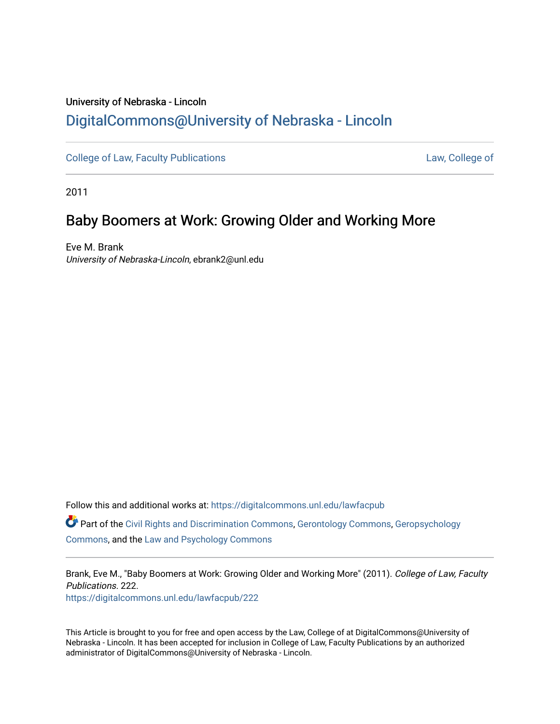## University of Nebraska - Lincoln [DigitalCommons@University of Nebraska - Lincoln](https://digitalcommons.unl.edu/)

[College of Law, Faculty Publications](https://digitalcommons.unl.edu/lawfacpub) [Law, College of](https://digitalcommons.unl.edu/law) Law, College of

2011

# Baby Boomers at Work: Growing Older and Working More

Eve M. Brank University of Nebraska-Lincoln, ebrank2@unl.edu

Follow this and additional works at: [https://digitalcommons.unl.edu/lawfacpub](https://digitalcommons.unl.edu/lawfacpub?utm_source=digitalcommons.unl.edu%2Flawfacpub%2F222&utm_medium=PDF&utm_campaign=PDFCoverPages)  Part of the [Civil Rights and Discrimination Commons,](http://network.bepress.com/hgg/discipline/585?utm_source=digitalcommons.unl.edu%2Flawfacpub%2F222&utm_medium=PDF&utm_campaign=PDFCoverPages) [Gerontology Commons,](http://network.bepress.com/hgg/discipline/1276?utm_source=digitalcommons.unl.edu%2Flawfacpub%2F222&utm_medium=PDF&utm_campaign=PDFCoverPages) [Geropsychology](http://network.bepress.com/hgg/discipline/1420?utm_source=digitalcommons.unl.edu%2Flawfacpub%2F222&utm_medium=PDF&utm_campaign=PDFCoverPages)  [Commons](http://network.bepress.com/hgg/discipline/1420?utm_source=digitalcommons.unl.edu%2Flawfacpub%2F222&utm_medium=PDF&utm_campaign=PDFCoverPages), and the [Law and Psychology Commons](http://network.bepress.com/hgg/discipline/870?utm_source=digitalcommons.unl.edu%2Flawfacpub%2F222&utm_medium=PDF&utm_campaign=PDFCoverPages) 

Brank, Eve M., "Baby Boomers at Work: Growing Older and Working More" (2011). College of Law, Faculty Publications. 222. [https://digitalcommons.unl.edu/lawfacpub/222](https://digitalcommons.unl.edu/lawfacpub/222?utm_source=digitalcommons.unl.edu%2Flawfacpub%2F222&utm_medium=PDF&utm_campaign=PDFCoverPages) 

This Article is brought to you for free and open access by the Law, College of at DigitalCommons@University of Nebraska - Lincoln. It has been accepted for inclusion in College of Law, Faculty Publications by an authorized administrator of DigitalCommons@University of Nebraska - Lincoln.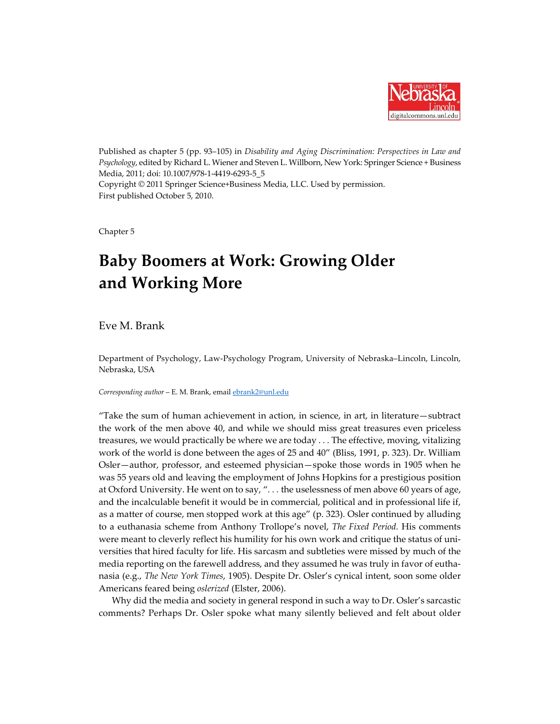

Published as chapter 5 (pp. 93–105) in *Disability and Aging Discrimination: Perspectives in Law and Psychology*, edited by Richard L. Wiener and Steven L. Willborn, New York: Springer Science + Business Media, 2011; doi: 10.1007/978-1-4419-6293-5\_5 Copyright © 2011 Springer Science+Business Media, LLC. Used by permission. First published October 5, 2010.

Chapter 5

# **Baby Boomers at Work: Growing Older and Working More**

Eve M. Brank

Department of Psychology, Law-Psychology Program, University of Nebraska–Lincoln, Lincoln, Nebraska, USA

*Corresponding author* – E. M. Brank, email [ebrank2@unl.edu](mailto:ebrank2@unl.edu)

"Take the sum of human achievement in action, in science, in art, in literature—subtract the work of the men above 40, and while we should miss great treasures even priceless treasures, we would practically be where we are today *. . .* The effective, moving, vitalizing work of the world is done between the ages of 25 and 40" (Bliss, 1991, p. 323). Dr. William Osler—author, professor, and esteemed physician—spoke those words in 1905 when he was 55 years old and leaving the employment of Johns Hopkins for a prestigious position at Oxford University. He went on to say, "*. . .* the uselessness of men above 60 years of age, and the incalculable benefit it would be in commercial, political and in professional life if, as a matter of course, men stopped work at this age" (p. 323). Osler continued by alluding to a euthanasia scheme from Anthony Trollope's novel, *The Fixed Period.* His comments were meant to cleverly reflect his humility for his own work and critique the status of universities that hired faculty for life. His sarcasm and subtleties were missed by much of the media reporting on the farewell address, and they assumed he was truly in favor of euthanasia (e.g., *The New York Times*, 1905). Despite Dr. Osler's cynical intent, soon some older Americans feared being *oslerized* (Elster, 2006).

Why did the media and society in general respond in such a way to Dr. Osler's sarcastic comments? Perhaps Dr. Osler spoke what many silently believed and felt about older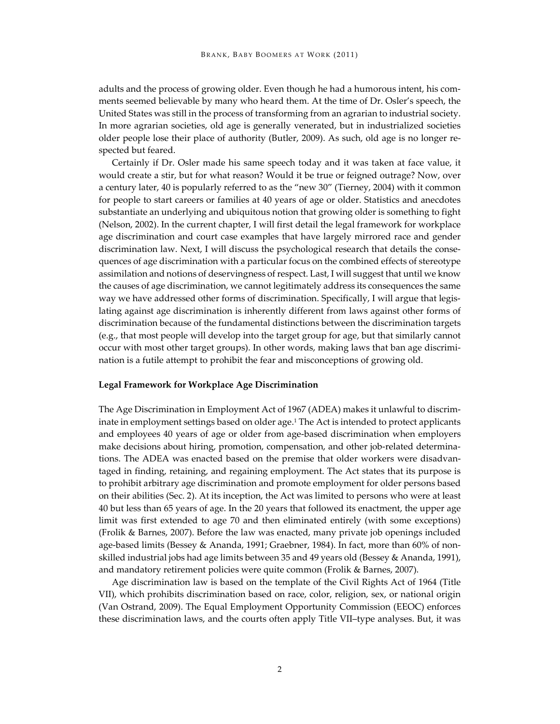adults and the process of growing older. Even though he had a humorous intent, his comments seemed believable by many who heard them. At the time of Dr. Osler's speech, the United States was still in the process of transforming from an agrarian to industrial society. In more agrarian societies, old age is generally venerated, but in industrialized societies older people lose their place of authority (Butler, 2009). As such, old age is no longer respected but feared.

Certainly if Dr. Osler made his same speech today and it was taken at face value, it would create a stir, but for what reason? Would it be true or feigned outrage? Now, over a century later, 40 is popularly referred to as the "new 30" (Tierney, 2004) with it common for people to start careers or families at 40 years of age or older. Statistics and anecdotes substantiate an underlying and ubiquitous notion that growing older is something to fight (Nelson, 2002). In the current chapter, I will first detail the legal framework for workplace age discrimination and court case examples that have largely mirrored race and gender discrimination law. Next, I will discuss the psychological research that details the consequences of age discrimination with a particular focus on the combined effects of stereotype assimilation and notions of deservingness of respect. Last, I will suggest that until we know the causes of age discrimination, we cannot legitimately address its consequences the same way we have addressed other forms of discrimination. Specifically, I will argue that legislating against age discrimination is inherently different from laws against other forms of discrimination because of the fundamental distinctions between the discrimination targets (e.g., that most people will develop into the target group for age, but that similarly cannot occur with most other target groups). In other words, making laws that ban age discrimination is a futile attempt to prohibit the fear and misconceptions of growing old.

#### **Legal Framework for Workplace Age Discrimination**

The Age Discrimination in Employment Act of 1967 (ADEA) makes it unlawful to discriminate in employment settings based on older age.1 The Act is intended to protect applicants and employees 40 years of age or older from age-based discrimination when employers make decisions about hiring, promotion, compensation, and other job-related determinations. The ADEA was enacted based on the premise that older workers were disadvantaged in finding, retaining, and regaining employment. The Act states that its purpose is to prohibit arbitrary age discrimination and promote employment for older persons based on their abilities (Sec. 2). At its inception, the Act was limited to persons who were at least 40 but less than 65 years of age. In the 20 years that followed its enactment, the upper age limit was first extended to age 70 and then eliminated entirely (with some exceptions) (Frolik & Barnes, 2007). Before the law was enacted, many private job openings included age-based limits (Bessey & Ananda, 1991; Graebner, 1984). In fact, more than 60% of nonskilled industrial jobs had age limits between 35 and 49 years old (Bessey & Ananda, 1991), and mandatory retirement policies were quite common (Frolik & Barnes, 2007).

Age discrimination law is based on the template of the Civil Rights Act of 1964 (Title VII), which prohibits discrimination based on race, color, religion, sex, or national origin (Van Ostrand, 2009). The Equal Employment Opportunity Commission (EEOC) enforces these discrimination laws, and the courts often apply Title VII–type analyses. But, it was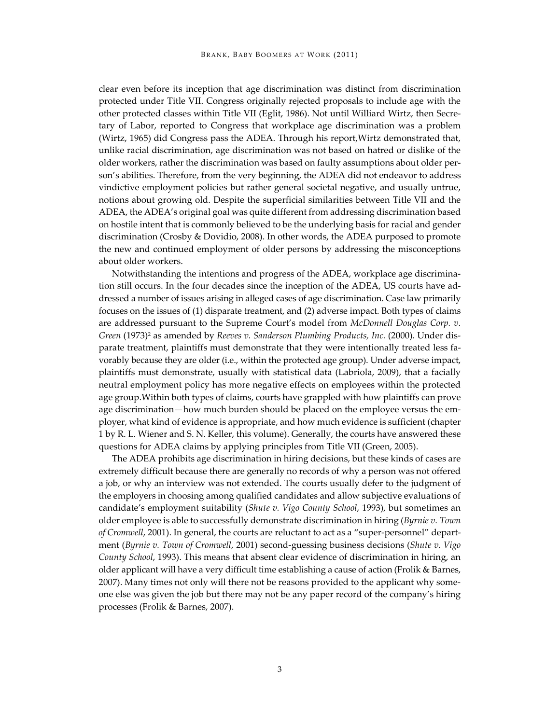clear even before its inception that age discrimination was distinct from discrimination protected under Title VII. Congress originally rejected proposals to include age with the other protected classes within Title VII (Eglit, 1986). Not until Williard Wirtz, then Secretary of Labor, reported to Congress that workplace age discrimination was a problem (Wirtz, 1965) did Congress pass the ADEA. Through his report,Wirtz demonstrated that, unlike racial discrimination, age discrimination was not based on hatred or dislike of the older workers, rather the discrimination was based on faulty assumptions about older person's abilities. Therefore, from the very beginning, the ADEA did not endeavor to address vindictive employment policies but rather general societal negative, and usually untrue, notions about growing old. Despite the superficial similarities between Title VII and the ADEA, the ADEA's original goal was quite different from addressing discrimination based on hostile intent that is commonly believed to be the underlying basis for racial and gender discrimination (Crosby & Dovidio, 2008). In other words, the ADEA purposed to promote the new and continued employment of older persons by addressing the misconceptions about older workers.

Notwithstanding the intentions and progress of the ADEA, workplace age discrimination still occurs. In the four decades since the inception of the ADEA, US courts have addressed a number of issues arising in alleged cases of age discrimination. Case law primarily focuses on the issues of (1) disparate treatment, and (2) adverse impact. Both types of claims are addressed pursuant to the Supreme Court's model from *McDonnell Douglas Corp. v. Green* (1973)<sup>2</sup> as amended by *Reeves v. Sanderson Plumbing Products, Inc.* (2000). Under disparate treatment, plaintiffs must demonstrate that they were intentionally treated less favorably because they are older (i.e., within the protected age group). Under adverse impact, plaintiffs must demonstrate, usually with statistical data (Labriola, 2009), that a facially neutral employment policy has more negative effects on employees within the protected age group.Within both types of claims, courts have grappled with how plaintiffs can prove age discrimination—how much burden should be placed on the employee versus the employer, what kind of evidence is appropriate, and how much evidence is sufficient (chapter 1 by R. L. Wiener and S. N. Keller, this volume). Generally, the courts have answered these questions for ADEA claims by applying principles from Title VII (Green, 2005).

The ADEA prohibits age discrimination in hiring decisions, but these kinds of cases are extremely difficult because there are generally no records of why a person was not offered a job, or why an interview was not extended. The courts usually defer to the judgment of the employers in choosing among qualified candidates and allow subjective evaluations of candidate's employment suitability (*Shute v. Vigo County School*, 1993), but sometimes an older employee is able to successfully demonstrate discrimination in hiring (*Byrnie v. Town of Cromwell*, 2001). In general, the courts are reluctant to act as a "super-personnel" department (*Byrnie v. Town of Cromwell*, 2001) second-guessing business decisions (*Shute v. Vigo County School*, 1993). This means that absent clear evidence of discrimination in hiring, an older applicant will have a very difficult time establishing a cause of action (Frolik & Barnes, 2007). Many times not only will there not be reasons provided to the applicant why someone else was given the job but there may not be any paper record of the company's hiring processes (Frolik & Barnes, 2007).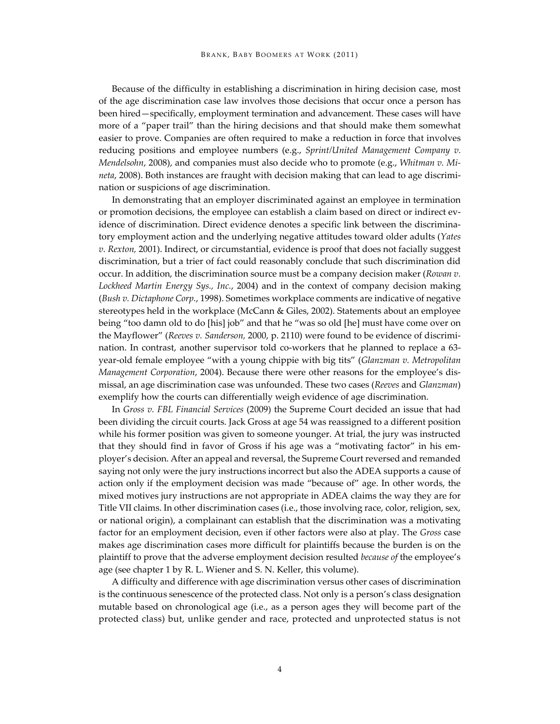Because of the difficulty in establishing a discrimination in hiring decision case, most of the age discrimination case law involves those decisions that occur once a person has been hired—specifically, employment termination and advancement. These cases will have more of a "paper trail" than the hiring decisions and that should make them somewhat easier to prove. Companies are often required to make a reduction in force that involves reducing positions and employee numbers (e.g., *Sprint/United Management Company v. Mendelsohn*, 2008), and companies must also decide who to promote (e.g., *Whitman v. Mineta*, 2008). Both instances are fraught with decision making that can lead to age discrimination or suspicions of age discrimination.

In demonstrating that an employer discriminated against an employee in termination or promotion decisions, the employee can establish a claim based on direct or indirect evidence of discrimination. Direct evidence denotes a specific link between the discriminatory employment action and the underlying negative attitudes toward older adults (*Yates v. Rexton,* 2001). Indirect, or circumstantial, evidence is proof that does not facially suggest discrimination, but a trier of fact could reasonably conclude that such discrimination did occur. In addition, the discrimination source must be a company decision maker (*Rowan v. Lockheed Martin Energy Sys., Inc.*, 2004) and in the context of company decision making (*Bush v. Dictaphone Corp.*, 1998). Sometimes workplace comments are indicative of negative stereotypes held in the workplace (McCann & Giles, 2002). Statements about an employee being "too damn old to do [his] job" and that he "was so old [he] must have come over on the Mayflower" (*Reeves v. Sanderson,* 2000, p. 2110) were found to be evidence of discrimination. In contrast, another supervisor told co-workers that he planned to replace a 63 year-old female employee "with a young chippie with big tits" (*Glanzman v. Metropolitan Management Corporation*, 2004). Because there were other reasons for the employee's dismissal, an age discrimination case was unfounded. These two cases (*Reeves* and *Glanzman*) exemplify how the courts can differentially weigh evidence of age discrimination.

In *Gross v. FBL Financial Services* (2009) the Supreme Court decided an issue that had been dividing the circuit courts. Jack Gross at age 54 was reassigned to a different position while his former position was given to someone younger. At trial, the jury was instructed that they should find in favor of Gross if his age was a "motivating factor" in his employer's decision. After an appeal and reversal, the Supreme Court reversed and remanded saying not only were the jury instructions incorrect but also the ADEA supports a cause of action only if the employment decision was made "because of" age. In other words, the mixed motives jury instructions are not appropriate in ADEA claims the way they are for Title VII claims. In other discrimination cases (i.e., those involving race, color, religion, sex, or national origin), a complainant can establish that the discrimination was a motivating factor for an employment decision, even if other factors were also at play. The *Gross* case makes age discrimination cases more difficult for plaintiffs because the burden is on the plaintiff to prove that the adverse employment decision resulted *because of* the employee's age (see chapter 1 by R. L. Wiener and S. N. Keller, this volume).

A difficulty and difference with age discrimination versus other cases of discrimination is the continuous senescence of the protected class. Not only is a person's class designation mutable based on chronological age (i.e., as a person ages they will become part of the protected class) but, unlike gender and race, protected and unprotected status is not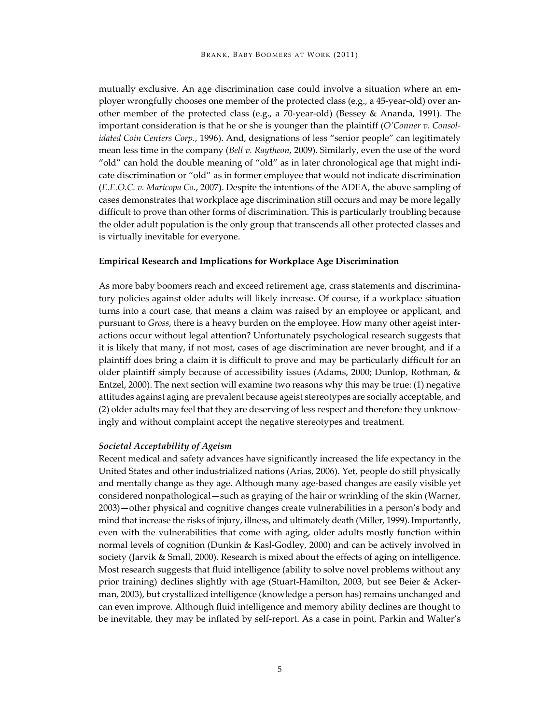mutually exclusive. An age discrimination case could involve a situation where an employer wrongfully chooses one member of the protected class (e.g., a 45-year-old) over another member of the protected class (e.g., a 70-year-old) (Bessey & Ananda, 1991). The important consideration is that he or she is younger than the plaintiff (*O'Conner v. Consolidated Coin Centers Corp.*, 1996). And, designations of less "senior people" can legitimately mean less time in the company (*Bell v. Raytheon*, 2009). Similarly, even the use of the word "old" can hold the double meaning of "old" as in later chronological age that might indicate discrimination or "old" as in former employee that would not indicate discrimination (*E.E.O.C. v. Maricopa Co.*, 2007). Despite the intentions of the ADEA, the above sampling of cases demonstrates that workplace age discrimination still occurs and may be more legally difficult to prove than other forms of discrimination. This is particularly troubling because the older adult population is the only group that transcends all other protected classes and is virtually inevitable for everyone.

## **Empirical Research and Implications for Workplace Age Discrimination**

As more baby boomers reach and exceed retirement age, crass statements and discriminatory policies against older adults will likely increase. Of course, if a workplace situation turns into a court case, that means a claim was raised by an employee or applicant, and pursuant to *Gross*, there is a heavy burden on the employee. How many other ageist interactions occur without legal attention? Unfortunately psychological research suggests that it is likely that many, if not most, cases of age discrimination are never brought, and if a plaintiff does bring a claim it is difficult to prove and may be particularly difficult for an older plaintiff simply because of accessibility issues (Adams, 2000; Dunlop, Rothman, & Entzel, 2000). The next section will examine two reasons why this may be true: (1) negative attitudes against aging are prevalent because ageist stereotypes are socially acceptable, and (2) older adults may feel that they are deserving of less respect and therefore they unknowingly and without complaint accept the negative stereotypes and treatment.

### *Societal Acceptability of Ageism*

Recent medical and safety advances have significantly increased the life expectancy in the United States and other industrialized nations (Arias, 2006). Yet, people do still physically and mentally change as they age. Although many age-based changes are easily visible yet considered nonpathological—such as graying of the hair or wrinkling of the skin (Warner, 2003)—other physical and cognitive changes create vulnerabilities in a person's body and mind that increase the risks of injury, illness, and ultimately death (Miller, 1999). Importantly, even with the vulnerabilities that come with aging, older adults mostly function within normal levels of cognition (Dunkin & Kasl-Godley, 2000) and can be actively involved in society (Jarvik & Small, 2000). Research is mixed about the effects of aging on intelligence. Most research suggests that fluid intelligence (ability to solve novel problems without any prior training) declines slightly with age (Stuart-Hamilton, 2003, but see Beier & Ackerman, 2003), but crystallized intelligence (knowledge a person has) remains unchanged and can even improve. Although fluid intelligence and memory ability declines are thought to be inevitable, they may be inflated by self-report. As a case in point, Parkin and Walter's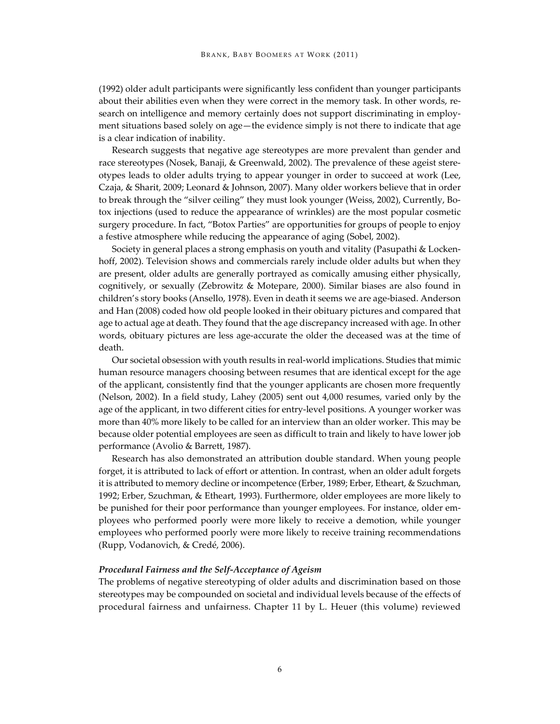(1992) older adult participants were significantly less confident than younger participants about their abilities even when they were correct in the memory task. In other words, research on intelligence and memory certainly does not support discriminating in employment situations based solely on age—the evidence simply is not there to indicate that age is a clear indication of inability.

Research suggests that negative age stereotypes are more prevalent than gender and race stereotypes (Nosek, Banaji, & Greenwald, 2002). The prevalence of these ageist stereotypes leads to older adults trying to appear younger in order to succeed at work (Lee, Czaja, & Sharit, 2009; Leonard & Johnson, 2007). Many older workers believe that in order to break through the "silver ceiling" they must look younger (Weiss, 2002), Currently, Botox injections (used to reduce the appearance of wrinkles) are the most popular cosmetic surgery procedure. In fact, "Botox Parties" are opportunities for groups of people to enjoy a festive atmosphere while reducing the appearance of aging (Sobel, 2002).

Society in general places a strong emphasis on youth and vitality (Pasupathi & Lockenhoff, 2002). Television shows and commercials rarely include older adults but when they are present, older adults are generally portrayed as comically amusing either physically, cognitively, or sexually (Zebrowitz & Motepare, 2000). Similar biases are also found in children's story books (Ansello, 1978). Even in death it seems we are age-biased. Anderson and Han (2008) coded how old people looked in their obituary pictures and compared that age to actual age at death. They found that the age discrepancy increased with age. In other words, obituary pictures are less age-accurate the older the deceased was at the time of death.

Our societal obsession with youth results in real-world implications. Studies that mimic human resource managers choosing between resumes that are identical except for the age of the applicant, consistently find that the younger applicants are chosen more frequently (Nelson, 2002). In a field study, Lahey (2005) sent out 4,000 resumes, varied only by the age of the applicant, in two different cities for entry-level positions. A younger worker was more than 40% more likely to be called for an interview than an older worker. This may be because older potential employees are seen as difficult to train and likely to have lower job performance (Avolio & Barrett, 1987).

Research has also demonstrated an attribution double standard. When young people forget, it is attributed to lack of effort or attention. In contrast, when an older adult forgets it is attributed to memory decline or incompetence (Erber, 1989; Erber, Etheart, & Szuchman, 1992; Erber, Szuchman, & Etheart, 1993). Furthermore, older employees are more likely to be punished for their poor performance than younger employees. For instance, older employees who performed poorly were more likely to receive a demotion, while younger employees who performed poorly were more likely to receive training recommendations (Rupp, Vodanovich, & Credé, 2006).

#### *Procedural Fairness and the Self-Acceptance of Ageism*

The problems of negative stereotyping of older adults and discrimination based on those stereotypes may be compounded on societal and individual levels because of the effects of procedural fairness and unfairness. Chapter 11 by L. Heuer (this volume) reviewed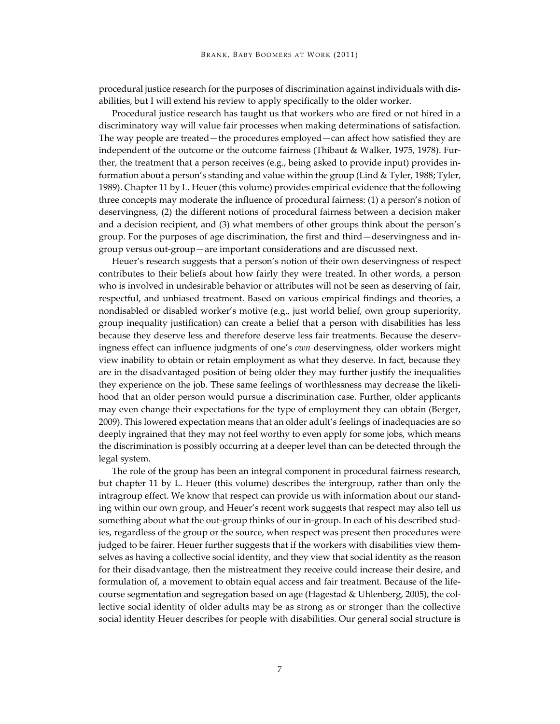procedural justice research for the purposes of discrimination against individuals with disabilities, but I will extend his review to apply specifically to the older worker.

Procedural justice research has taught us that workers who are fired or not hired in a discriminatory way will value fair processes when making determinations of satisfaction. The way people are treated—the procedures employed—can affect how satisfied they are independent of the outcome or the outcome fairness (Thibaut & Walker, 1975, 1978). Further, the treatment that a person receives (e.g., being asked to provide input) provides information about a person's standing and value within the group (Lind & Tyler, 1988; Tyler, 1989). Chapter 11 by L. Heuer (this volume) provides empirical evidence that the following three concepts may moderate the influence of procedural fairness: (1) a person's notion of deservingness, (2) the different notions of procedural fairness between a decision maker and a decision recipient, and (3) what members of other groups think about the person's group. For the purposes of age discrimination, the first and third—deservingness and ingroup versus out-group—are important considerations and are discussed next.

Heuer's research suggests that a person's notion of their own deservingness of respect contributes to their beliefs about how fairly they were treated. In other words, a person who is involved in undesirable behavior or attributes will not be seen as deserving of fair, respectful, and unbiased treatment. Based on various empirical findings and theories, a nondisabled or disabled worker's motive (e.g., just world belief, own group superiority, group inequality justification) can create a belief that a person with disabilities has less because they deserve less and therefore deserve less fair treatments. Because the deservingness effect can influence judgments of one's *own* deservingness, older workers might view inability to obtain or retain employment as what they deserve. In fact, because they are in the disadvantaged position of being older they may further justify the inequalities they experience on the job. These same feelings of worthlessness may decrease the likelihood that an older person would pursue a discrimination case. Further, older applicants may even change their expectations for the type of employment they can obtain (Berger, 2009). This lowered expectation means that an older adult's feelings of inadequacies are so deeply ingrained that they may not feel worthy to even apply for some jobs, which means the discrimination is possibly occurring at a deeper level than can be detected through the legal system.

The role of the group has been an integral component in procedural fairness research, but chapter 11 by L. Heuer (this volume) describes the intergroup, rather than only the intragroup effect. We know that respect can provide us with information about our standing within our own group, and Heuer's recent work suggests that respect may also tell us something about what the out-group thinks of our in-group. In each of his described studies, regardless of the group or the source, when respect was present then procedures were judged to be fairer. Heuer further suggests that if the workers with disabilities view themselves as having a collective social identity, and they view that social identity as the reason for their disadvantage, then the mistreatment they receive could increase their desire, and formulation of, a movement to obtain equal access and fair treatment. Because of the lifecourse segmentation and segregation based on age (Hagestad & Uhlenberg, 2005), the collective social identity of older adults may be as strong as or stronger than the collective social identity Heuer describes for people with disabilities. Our general social structure is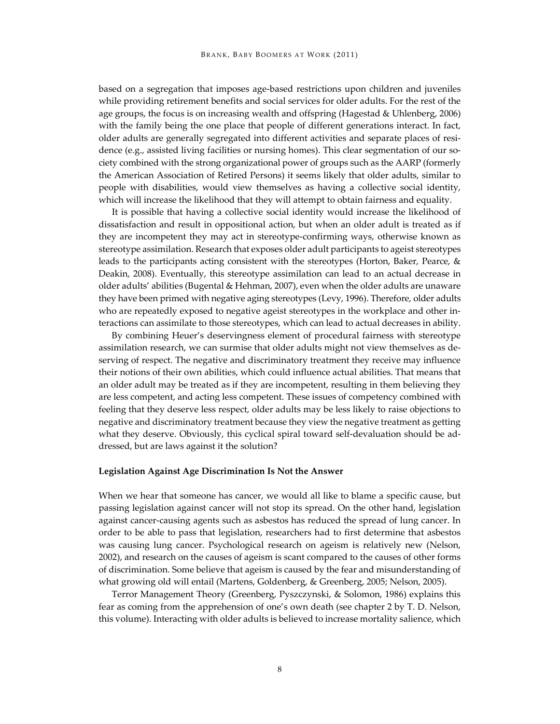based on a segregation that imposes age-based restrictions upon children and juveniles while providing retirement benefits and social services for older adults. For the rest of the age groups, the focus is on increasing wealth and offspring (Hagestad & Uhlenberg, 2006) with the family being the one place that people of different generations interact. In fact, older adults are generally segregated into different activities and separate places of residence (e.g., assisted living facilities or nursing homes). This clear segmentation of our society combined with the strong organizational power of groups such as the AARP (formerly the American Association of Retired Persons) it seems likely that older adults, similar to people with disabilities, would view themselves as having a collective social identity, which will increase the likelihood that they will attempt to obtain fairness and equality.

It is possible that having a collective social identity would increase the likelihood of dissatisfaction and result in oppositional action, but when an older adult is treated as if they are incompetent they may act in stereotype-confirming ways, otherwise known as stereotype assimilation. Research that exposes older adult participants to ageist stereotypes leads to the participants acting consistent with the stereotypes (Horton, Baker, Pearce, & Deakin, 2008). Eventually, this stereotype assimilation can lead to an actual decrease in older adults' abilities (Bugental & Hehman, 2007), even when the older adults are unaware they have been primed with negative aging stereotypes (Levy, 1996). Therefore, older adults who are repeatedly exposed to negative ageist stereotypes in the workplace and other interactions can assimilate to those stereotypes, which can lead to actual decreases in ability.

By combining Heuer's deservingness element of procedural fairness with stereotype assimilation research, we can surmise that older adults might not view themselves as deserving of respect. The negative and discriminatory treatment they receive may influence their notions of their own abilities, which could influence actual abilities. That means that an older adult may be treated as if they are incompetent, resulting in them believing they are less competent, and acting less competent. These issues of competency combined with feeling that they deserve less respect, older adults may be less likely to raise objections to negative and discriminatory treatment because they view the negative treatment as getting what they deserve. Obviously, this cyclical spiral toward self-devaluation should be addressed, but are laws against it the solution?

#### **Legislation Against Age Discrimination Is Not the Answer**

When we hear that someone has cancer, we would all like to blame a specific cause, but passing legislation against cancer will not stop its spread. On the other hand, legislation against cancer-causing agents such as asbestos has reduced the spread of lung cancer. In order to be able to pass that legislation, researchers had to first determine that asbestos was causing lung cancer. Psychological research on ageism is relatively new (Nelson, 2002), and research on the causes of ageism is scant compared to the causes of other forms of discrimination. Some believe that ageism is caused by the fear and misunderstanding of what growing old will entail (Martens, Goldenberg, & Greenberg, 2005; Nelson, 2005).

Terror Management Theory (Greenberg, Pyszczynski, & Solomon, 1986) explains this fear as coming from the apprehension of one's own death (see chapter 2 by T. D. Nelson, this volume). Interacting with older adults is believed to increase mortality salience, which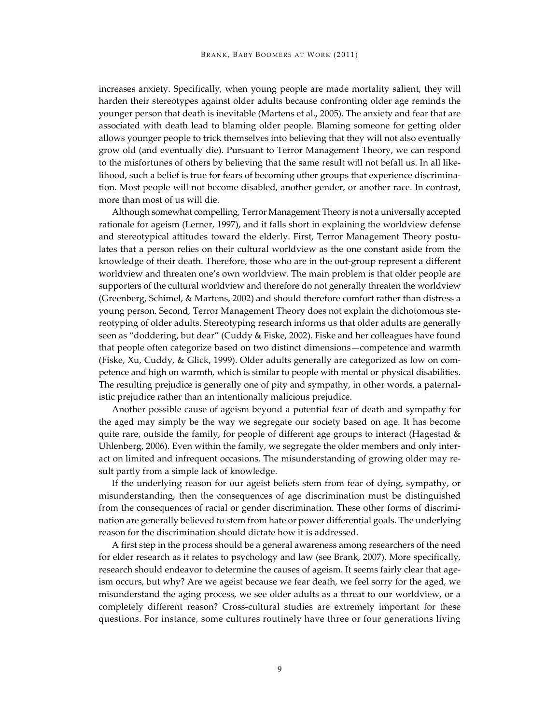increases anxiety. Specifically, when young people are made mortality salient, they will harden their stereotypes against older adults because confronting older age reminds the younger person that death is inevitable (Martens et al., 2005). The anxiety and fear that are associated with death lead to blaming older people. Blaming someone for getting older allows younger people to trick themselves into believing that they will not also eventually grow old (and eventually die). Pursuant to Terror Management Theory, we can respond to the misfortunes of others by believing that the same result will not befall us. In all likelihood, such a belief is true for fears of becoming other groups that experience discrimination. Most people will not become disabled, another gender, or another race. In contrast, more than most of us will die.

Although somewhat compelling, Terror Management Theory is not a universally accepted rationale for ageism (Lerner, 1997), and it falls short in explaining the worldview defense and stereotypical attitudes toward the elderly. First, Terror Management Theory postulates that a person relies on their cultural worldview as the one constant aside from the knowledge of their death. Therefore, those who are in the out-group represent a different worldview and threaten one's own worldview. The main problem is that older people are supporters of the cultural worldview and therefore do not generally threaten the worldview (Greenberg, Schimel, & Martens, 2002) and should therefore comfort rather than distress a young person. Second, Terror Management Theory does not explain the dichotomous stereotyping of older adults. Stereotyping research informs us that older adults are generally seen as "doddering, but dear" (Cuddy & Fiske, 2002). Fiske and her colleagues have found that people often categorize based on two distinct dimensions—competence and warmth (Fiske, Xu, Cuddy, & Glick, 1999). Older adults generally are categorized as low on competence and high on warmth, which is similar to people with mental or physical disabilities. The resulting prejudice is generally one of pity and sympathy, in other words, a paternalistic prejudice rather than an intentionally malicious prejudice.

Another possible cause of ageism beyond a potential fear of death and sympathy for the aged may simply be the way we segregate our society based on age. It has become quite rare, outside the family, for people of different age groups to interact (Hagestad  $\&$ Uhlenberg, 2006). Even within the family, we segregate the older members and only interact on limited and infrequent occasions. The misunderstanding of growing older may result partly from a simple lack of knowledge.

If the underlying reason for our ageist beliefs stem from fear of dying, sympathy, or misunderstanding, then the consequences of age discrimination must be distinguished from the consequences of racial or gender discrimination. These other forms of discrimination are generally believed to stem from hate or power differential goals. The underlying reason for the discrimination should dictate how it is addressed.

A first step in the process should be a general awareness among researchers of the need for elder research as it relates to psychology and law (see Brank, 2007). More specifically, research should endeavor to determine the causes of ageism. It seems fairly clear that ageism occurs, but why? Are we ageist because we fear death, we feel sorry for the aged, we misunderstand the aging process, we see older adults as a threat to our worldview, or a completely different reason? Cross-cultural studies are extremely important for these questions. For instance, some cultures routinely have three or four generations living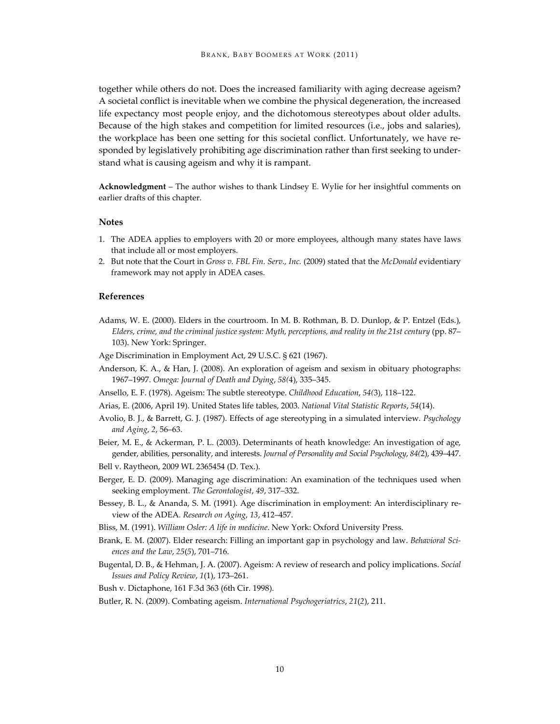together while others do not. Does the increased familiarity with aging decrease ageism? A societal conflict is inevitable when we combine the physical degeneration, the increased life expectancy most people enjoy, and the dichotomous stereotypes about older adults. Because of the high stakes and competition for limited resources (i.e., jobs and salaries), the workplace has been one setting for this societal conflict. Unfortunately, we have responded by legislatively prohibiting age discrimination rather than first seeking to understand what is causing ageism and why it is rampant.

**Acknowledgment** – The author wishes to thank Lindsey E. Wylie for her insightful comments on earlier drafts of this chapter.

#### **Notes**

- 1. The ADEA applies to employers with 20 or more employees, although many states have laws that include all or most employers.
- 2. But note that the Court in *Gross v. FBL Fin. Serv., Inc.* (2009) stated that the *McDonald* evidentiary framework may not apply in ADEA cases.

## **References**

- Adams, W. E. (2000). Elders in the courtroom. In M. B. Rothman, B. D. Dunlop, & P. Entzel (Eds.), *Elders, crime, and the criminal justice system: Myth, perceptions, and reality in the 21st century* (pp. 87– 103). New York: Springer.
- Age Discrimination in Employment Act, 29 U.S.C. § 621 (1967).
- Anderson, K. A., & Han, J. (2008). An exploration of ageism and sexism in obituary photographs: 1967–1997. *Omega: Journal of Death and Dying*, *58(*4), 335–345.
- Ansello, E. F. (1978). Ageism: The subtle stereotype. *Childhood Education*, *54(*3), 118–122.
- Arias, E. (2006, April 19). United States life tables, 2003. *National Vital Statistic Reports*, *54*(14).
- Avolio, B. J., & Barrett, G. J. (1987). Effects of age stereotyping in a simulated interview. *Psychology and Aging*, *2*, 56–63.
- Beier, M. E., & Ackerman, P. L. (2003). Determinants of heath knowledge: An investigation of age, gender, abilities, personality, and interests. *Journal of Personality and Social Psychology*, *84(*2), 439–447.
- Bell v. Raytheon, 2009 WL 2365454 (D. Tex.).
- Berger, E. D. (2009). Managing age discrimination: An examination of the techniques used when seeking employment. *The Gerontologist*, *49*, 317–332.
- Bessey, B. L., & Ananda, S. M. (1991). Age discrimination in employment: An interdisciplinary review of the ADEA. *Research on Aging*, *13*, 412–457.
- Bliss, M. (1991). *William Osler: A life in medicine*. New York: Oxford University Press.
- Brank, E. M. (2007). Elder research: Filling an important gap in psychology and law. *Behavioral Sciences and the Law*, *25*(*5*), 701–716.
- Bugental, D. B., & Hehman, J. A. (2007). Ageism: A review of research and policy implications. *Social Issues and Policy Review*, *1*(1), 173–261.

Bush v. Dictaphone, 161 F.3d 363 (6th Cir. 1998).

Butler, R. N. (2009). Combating ageism. *International Psychogeriatrics*, *21*(*2*), 211.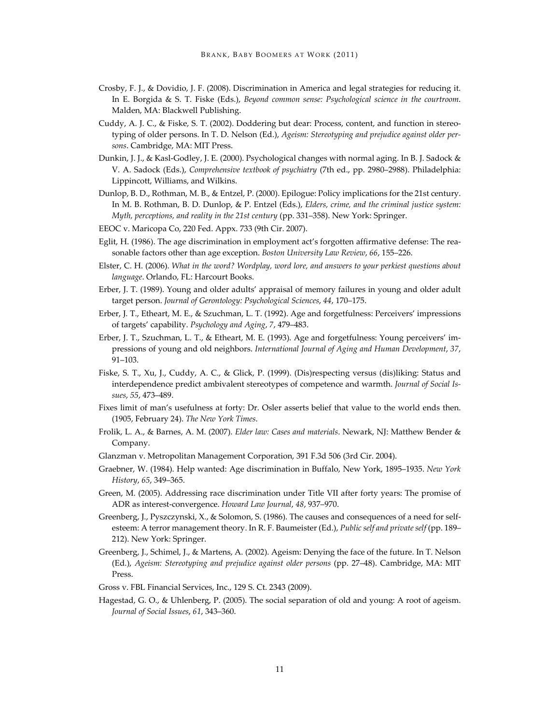- Crosby, F. J., & Dovidio, J. F. (2008). Discrimination in America and legal strategies for reducing it. In E. Borgida & S. T. Fiske (Eds.), *Beyond common sense: Psychological science in the courtroom*. Malden, MA: Blackwell Publishing.
- Cuddy, A. J. C., & Fiske, S. T. (2002). Doddering but dear: Process, content, and function in stereotyping of older persons. In T. D. Nelson (Ed.), *Ageism: Stereotyping and prejudice against older persons*. Cambridge, MA: MIT Press.
- Dunkin, J. J., & Kasl-Godley, J. E. (2000). Psychological changes with normal aging. In B. J. Sadock & V. A. Sadock (Eds.), *Comprehensive textbook of psychiatry* (7th ed., pp. 2980–2988). Philadelphia: Lippincott, Williams, and Wilkins.
- Dunlop, B. D., Rothman, M. B., & Entzel, P. (2000). Epilogue: Policy implications for the 21st century. In M. B. Rothman, B. D. Dunlop, & P. Entzel (Eds.), *Elders, crime, and the criminal justice system: Myth, perceptions, and reality in the 21st century* (pp. 331–358). New York: Springer.
- EEOC v. Maricopa Co, 220 Fed. Appx. 733 (9th Cir. 2007).
- Eglit, H. (1986). The age discrimination in employment act's forgotten affirmative defense: The reasonable factors other than age exception. *Boston University Law Review*, *66*, 155–226.
- Elster, C. H. (2006). *What in the word? Wordplay, word lore, and answers to your perkiest questions about language*. Orlando, FL: Harcourt Books.
- Erber, J. T. (1989). Young and older adults' appraisal of memory failures in young and older adult target person. *Journal of Gerontology: Psychological Sciences*, *44*, 170–175.
- Erber, J. T., Etheart, M. E., & Szuchman, L. T. (1992). Age and forgetfulness: Perceivers' impressions of targets' capability. *Psychology and Aging*, *7*, 479–483.
- Erber, J. T., Szuchman, L. T., & Etheart, M. E. (1993). Age and forgetfulness: Young perceivers' impressions of young and old neighbors. *International Journal of Aging and Human Development*, *37*, 91–103.
- Fiske, S. T., Xu, J., Cuddy, A. C., & Glick, P. (1999). (Dis)respecting versus (dis)liking: Status and interdependence predict ambivalent stereotypes of competence and warmth. *Journal of Social Issues*, *55*, 473–489.
- Fixes limit of man's usefulness at forty: Dr. Osler asserts belief that value to the world ends then. (1905, February 24). *The New York Times*.
- Frolik, L. A., & Barnes, A. M. (2007). *Elder law: Cases and materials*. Newark, NJ: Matthew Bender & Company.
- Glanzman v. Metropolitan Management Corporation, 391 F.3d 506 (3rd Cir. 2004).
- Graebner, W. (1984). Help wanted: Age discrimination in Buffalo, New York, 1895–1935. *New York History*, *65*, 349–365.
- Green, M. (2005). Addressing race discrimination under Title VII after forty years: The promise of ADR as interest-convergence. *Howard Law Journal*, *48*, 937–970.
- Greenberg, J., Pyszczynski, X., & Solomon, S. (1986). The causes and consequences of a need for selfesteem: A terror management theory. In R. F. Baumeister (Ed.), *Public self and private self* (pp. 189– 212). New York: Springer.
- Greenberg, J., Schimel, J., & Martens, A. (2002). Ageism: Denying the face of the future. In T. Nelson (Ed.), *Ageism: Stereotyping and prejudice against older persons* (pp. 27–48). Cambridge, MA: MIT Press.
- Gross v. FBL Financial Services, Inc., 129 S. Ct. 2343 (2009).
- Hagestad, G. O., & Uhlenberg, P. (2005). The social separation of old and young: A root of ageism. *Journal of Social Issues*, *61*, 343–360.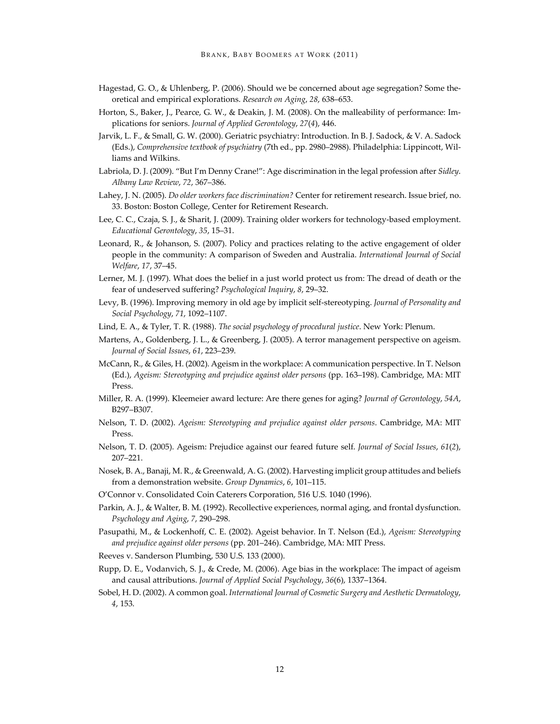- Hagestad, G. O., & Uhlenberg, P. (2006). Should we be concerned about age segregation? Some theoretical and empirical explorations. *Research on Aging*, *28*, 638–653.
- Horton, S., Baker, J., Pearce, G. W., & Deakin, J. M. (2008). On the malleability of performance: Implications for seniors. *Journal of Applied Gerontology*, *27*(*4*), 446.
- Jarvik, L. F., & Small, G. W. (2000). Geriatric psychiatry: Introduction. In B. J. Sadock, & V. A. Sadock (Eds.), *Comprehensive textbook of psychiatry* (7th ed., pp. 2980–2988). Philadelphia: Lippincott, Williams and Wilkins.
- Labriola, D. J. (2009). "But I'm Denny Crane!": Age discrimination in the legal profession after *Sidley*. *Albany Law Review*, *72*, 367–386.
- Lahey, J. N. (2005). *Do older workers face discrimination?* Center for retirement research. Issue brief, no. 33. Boston: Boston College, Center for Retirement Research.
- Lee, C. C., Czaja, S. J., & Sharit, J. (2009). Training older workers for technology-based employment. *Educational Gerontology*, *35*, 15–31.
- Leonard, R., & Johanson, S. (2007). Policy and practices relating to the active engagement of older people in the community: A comparison of Sweden and Australia. *International Journal of Social Welfare*, *17*, 37–45.
- Lerner, M. J. (1997). What does the belief in a just world protect us from: The dread of death or the fear of undeserved suffering? *Psychological Inquiry*, *8*, 29–32.
- Levy, B. (1996). Improving memory in old age by implicit self-stereotyping. *Journal of Personality and Social Psychology*, *71*, 1092–1107.
- Lind, E. A., & Tyler, T. R. (1988). *The social psychology of procedural justice*. New York: Plenum.
- Martens, A., Goldenberg, J. L., & Greenberg, J. (2005). A terror management perspective on ageism. *Journal of Social Issues*, *61*, 223–239.
- McCann, R., & Giles, H. (2002). Ageism in the workplace: A communication perspective. In T. Nelson (Ed.), *Ageism: Stereotyping and prejudice against older persons* (pp. 163–198). Cambridge, MA: MIT Press.
- Miller, R. A. (1999). Kleemeier award lecture: Are there genes for aging? *Journal of Gerontology*, *54A*, B297–B307.
- Nelson, T. D. (2002). *Ageism: Stereotyping and prejudice against older persons*. Cambridge, MA: MIT Press.
- Nelson, T. D. (2005). Ageism: Prejudice against our feared future self. *Journal of Social Issues*, *61*(*2*), 207–221.
- Nosek, B. A., Banaji, M. R., & Greenwald, A. G. (2002). Harvesting implicit group attitudes and beliefs from a demonstration website. *Group Dynamics*, *6*, 101–115.
- O'Connor v. Consolidated Coin Caterers Corporation, 516 U.S. 1040 (1996).
- Parkin, A. J., & Walter, B. M. (1992). Recollective experiences, normal aging, and frontal dysfunction. *Psychology and Aging*, *7*, 290–298.
- Pasupathi, M., & Lockenhoff, C. E. (2002). Ageist behavior. In T. Nelson (Ed.), *Ageism: Stereotyping and prejudice against older persons* (pp. 201–246). Cambridge, MA: MIT Press.
- Reeves v. Sanderson Plumbing, 530 U.S. 133 (2000).
- Rupp, D. E., Vodanvich, S. J., & Crede, M. (2006). Age bias in the workplace: The impact of ageism and causal attributions. *Journal of Applied Social Psychology*, *36*(6), 1337–1364.
- Sobel, H. D. (2002). A common goal. *International Journal of Cosmetic Surgery and Aesthetic Dermatology*, *4*, 153.